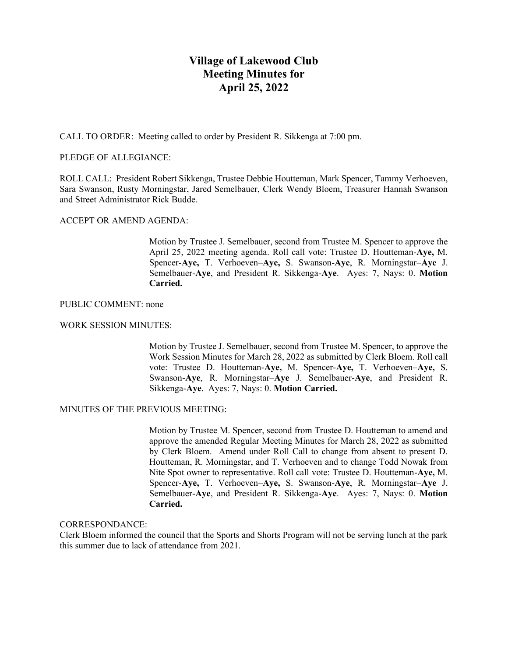# **Village of Lakewood Club Meeting Minutes for April 25, 2022**

CALL TO ORDER: Meeting called to order by President R. Sikkenga at 7:00 pm.

## PLEDGE OF ALLEGIANCE:

ROLL CALL: President Robert Sikkenga, Trustee Debbie Houtteman, Mark Spencer, Tammy Verhoeven, Sara Swanson, Rusty Morningstar, Jared Semelbauer, Clerk Wendy Bloem, Treasurer Hannah Swanson and Street Administrator Rick Budde.

## ACCEPT OR AMEND AGENDA:

Motion by Trustee J. Semelbauer, second from Trustee M. Spencer to approve the April 25, 2022 meeting agenda. Roll call vote: Trustee D. Houtteman-**Aye,** M. Spencer-**Aye,** T. Verhoeven–**Aye,** S. Swanson-**Aye**, R. Morningstar–**Aye** J. Semelbauer-**Aye**, and President R. Sikkenga-**Aye**. Ayes: 7, Nays: 0. **Motion Carried.**

#### PUBLIC COMMENT: none

#### WORK SESSION MINUTES:

Motion by Trustee J. Semelbauer, second from Trustee M. Spencer, to approve the Work Session Minutes for March 28, 2022 as submitted by Clerk Bloem. Roll call vote: Trustee D. Houtteman-**Aye,** M. Spencer-**Aye,** T. Verhoeven–**Aye,** S. Swanson-**Aye**, R. Morningstar–**Aye** J. Semelbauer-**Aye**, and President R. Sikkenga-**Aye**. Ayes: 7, Nays: 0. **Motion Carried.**

#### MINUTES OF THE PREVIOUS MEETING:

Motion by Trustee M. Spencer, second from Trustee D. Houtteman to amend and approve the amended Regular Meeting Minutes for March 28, 2022 as submitted by Clerk Bloem. Amend under Roll Call to change from absent to present D. Houtteman, R. Morningstar, and T. Verhoeven and to change Todd Nowak from Nite Spot owner to representative. Roll call vote: Trustee D. Houtteman-**Aye,** M. Spencer-**Aye,** T. Verhoeven–**Aye,** S. Swanson-**Aye**, R. Morningstar–**Aye** J. Semelbauer-**Aye**, and President R. Sikkenga-**Aye**. Ayes: 7, Nays: 0. **Motion Carried.**

#### CORRESPONDANCE:

Clerk Bloem informed the council that the Sports and Shorts Program will not be serving lunch at the park this summer due to lack of attendance from 2021.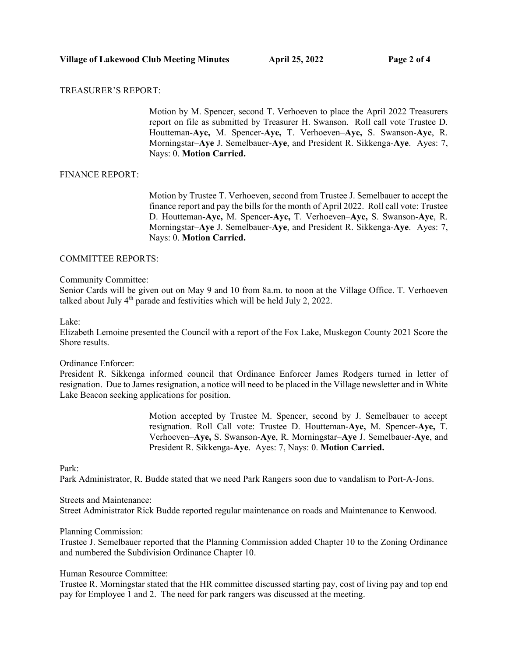## TREASURER'S REPORT:

Motion by M. Spencer, second T. Verhoeven to place the April 2022 Treasurers report on file as submitted by Treasurer H. Swanson. Roll call vote Trustee D. Houtteman-**Aye,** M. Spencer-**Aye,** T. Verhoeven–**Aye,** S. Swanson-**Aye**, R. Morningstar–**Aye** J. Semelbauer-**Aye**, and President R. Sikkenga-**Aye**. Ayes: 7, Nays: 0. **Motion Carried.**

#### FINANCE REPORT:

Motion by Trustee T. Verhoeven, second from Trustee J. Semelbauer to accept the finance report and pay the bills for the month of April 2022. Roll call vote: Trustee D. Houtteman-**Aye,** M. Spencer-**Aye,** T. Verhoeven–**Aye,** S. Swanson-**Aye**, R. Morningstar–**Aye** J. Semelbauer-**Aye**, and President R. Sikkenga-**Aye**. Ayes: 7, Nays: 0. **Motion Carried.**

#### COMMITTEE REPORTS:

Community Committee:

Senior Cards will be given out on May 9 and 10 from 8a.m. to noon at the Village Office. T. Verhoeven talked about July  $4<sup>th</sup>$  parade and festivities which will be held July 2, 2022.

#### Lake:

Elizabeth Lemoine presented the Council with a report of the Fox Lake, Muskegon County 2021 Score the Shore results.

#### Ordinance Enforcer:

President R. Sikkenga informed council that Ordinance Enforcer James Rodgers turned in letter of resignation. Due to James resignation, a notice will need to be placed in the Village newsletter and in White Lake Beacon seeking applications for position.

> Motion accepted by Trustee M. Spencer, second by J. Semelbauer to accept resignation. Roll Call vote: Trustee D. Houtteman-**Aye,** M. Spencer-**Aye,** T. Verhoeven–**Aye,** S. Swanson-**Aye**, R. Morningstar–**Aye** J. Semelbauer-**Aye**, and President R. Sikkenga-**Aye**. Ayes: 7, Nays: 0. **Motion Carried.**

#### Park:

Park Administrator, R. Budde stated that we need Park Rangers soon due to vandalism to Port-A-Jons.

#### Streets and Maintenance:

Street Administrator Rick Budde reported regular maintenance on roads and Maintenance to Kenwood.

#### Planning Commission:

Trustee J. Semelbauer reported that the Planning Commission added Chapter 10 to the Zoning Ordinance and numbered the Subdivision Ordinance Chapter 10.

#### Human Resource Committee:

Trustee R. Morningstar stated that the HR committee discussed starting pay, cost of living pay and top end pay for Employee 1 and 2. The need for park rangers was discussed at the meeting.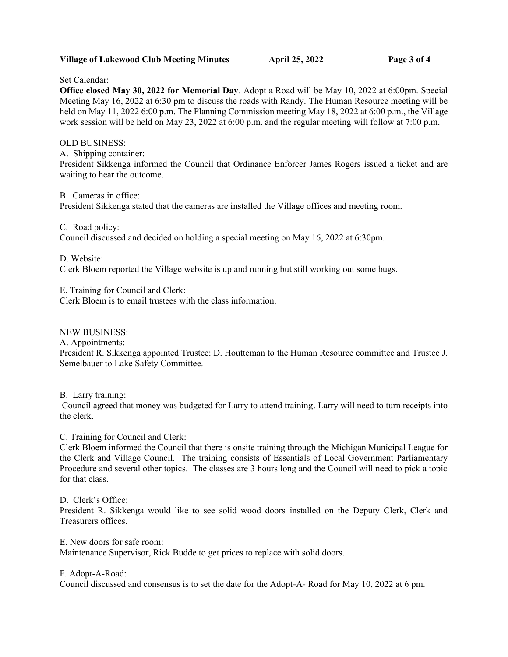## **Village of Lakewood Club Meeting Minutes April 25, 2022 Page 3 of 4**

Set Calendar:

**Office closed May 30, 2022 for Memorial Day**. Adopt a Road will be May 10, 2022 at 6:00pm. Special Meeting May 16, 2022 at 6:30 pm to discuss the roads with Randy. The Human Resource meeting will be held on May 11, 2022 6:00 p.m. The Planning Commission meeting May 18, 2022 at 6:00 p.m., the Village work session will be held on May 23, 2022 at 6:00 p.m. and the regular meeting will follow at 7:00 p.m.

OLD BUSINESS:

A. Shipping container:

President Sikkenga informed the Council that Ordinance Enforcer James Rogers issued a ticket and are waiting to hear the outcome.

B. Cameras in office: President Sikkenga stated that the cameras are installed the Village offices and meeting room.

C. Road policy:

Council discussed and decided on holding a special meeting on May 16, 2022 at 6:30pm.

D. Website:

Clerk Bloem reported the Village website is up and running but still working out some bugs.

E. Training for Council and Clerk: Clerk Bloem is to email trustees with the class information.

NEW BUSINESS:

A. Appointments:

President R. Sikkenga appointed Trustee: D. Houtteman to the Human Resource committee and Trustee J. Semelbauer to Lake Safety Committee.

B. Larry training:

Council agreed that money was budgeted for Larry to attend training. Larry will need to turn receipts into the clerk.

C. Training for Council and Clerk:

Clerk Bloem informed the Council that there is onsite training through the Michigan Municipal League for the Clerk and Village Council. The training consists of Essentials of Local Government Parliamentary Procedure and several other topics. The classes are 3 hours long and the Council will need to pick a topic for that class.

D. Clerk's Office:

President R. Sikkenga would like to see solid wood doors installed on the Deputy Clerk, Clerk and Treasurers offices.

E. New doors for safe room: Maintenance Supervisor, Rick Budde to get prices to replace with solid doors.

F. Adopt-A-Road:

Council discussed and consensus is to set the date for the Adopt-A- Road for May 10, 2022 at 6 pm.